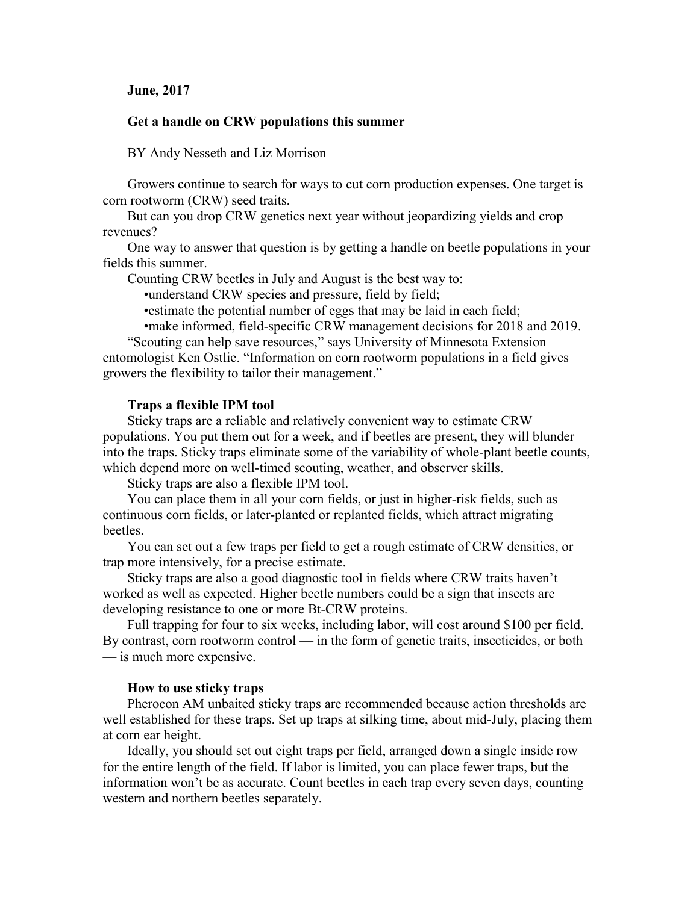## **June, 2017**

# **Get a handle on CRW populations this summer**

BY Andy Nesseth and Liz Morrison

Growers continue to search for ways to cut corn production expenses. One target is corn rootworm (CRW) seed traits.

But can you drop CRW genetics next year without jeopardizing yields and crop revenues?

One way to answer that question is by getting a handle on beetle populations in your fields this summer.

Counting CRW beetles in July and August is the best way to:

•understand CRW species and pressure, field by field;

•estimate the potential number of eggs that may be laid in each field;

•make informed, field-specific CRW management decisions for 2018 and 2019.

"Scouting can help save resources," says University of Minnesota Extension entomologist Ken Ostlie. "Information on corn rootworm populations in a field gives growers the flexibility to tailor their management."

### **Traps a flexible IPM tool**

Sticky traps are a reliable and relatively convenient way to estimate CRW populations. You put them out for a week, and if beetles are present, they will blunder into the traps. Sticky traps eliminate some of the variability of whole-plant beetle counts, which depend more on well-timed scouting, weather, and observer skills.

Sticky traps are also a flexible IPM tool.

You can place them in all your corn fields, or just in higher-risk fields, such as continuous corn fields, or later-planted or replanted fields, which attract migrating beetles.

You can set out a few traps per field to get a rough estimate of CRW densities, or trap more intensively, for a precise estimate.

Sticky traps are also a good diagnostic tool in fields where CRW traits haven't worked as well as expected. Higher beetle numbers could be a sign that insects are developing resistance to one or more Bt-CRW proteins.

Full trapping for four to six weeks, including labor, will cost around \$100 per field. By contrast, corn rootworm control — in the form of genetic traits, insecticides, or both — is much more expensive.

#### **How to use sticky traps**

Pherocon AM unbaited sticky traps are recommended because action thresholds are well established for these traps. Set up traps at silking time, about mid-July, placing them at corn ear height.

Ideally, you should set out eight traps per field, arranged down a single inside row for the entire length of the field. If labor is limited, you can place fewer traps, but the information won't be as accurate. Count beetles in each trap every seven days, counting western and northern beetles separately.